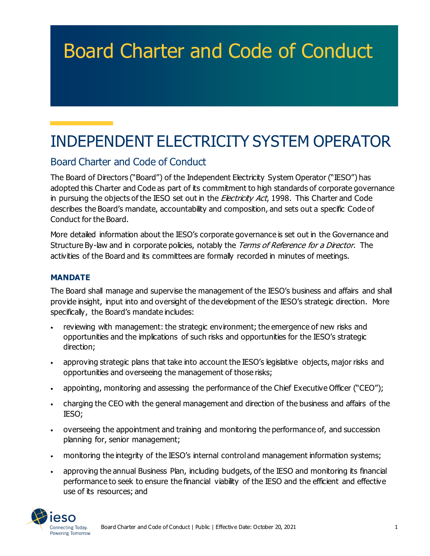# Board Charter and Code of Conduct

## INDEPENDENT ELECTRICITY SYSTEM OPERATOR

### Board Charter and Code of Conduct

The Board of Directors ("Board") of the Independent Electricity System Operator ("IESO") has adopted this Charter and Code as part of its commitment to high standards of corporate governance in pursuing the objects of the IESO set out in the *Electricity Act*, 1998. This Charter and Code describes the Board's mandate, accountability and composition, and sets out a specific Code of Conduct for the Board.

More detailed information about the IESO's corporate governance is set out in the Governance and Structure By-law and in corporate policies, notably the Terms of Reference for a Director. The activities of the Board and its committees are formally recorded in minutes of meetings.

#### **MANDATE**

The Board shall manage and supervise the management of the IESO's business and affairs and shall provide insight, input into and oversight of the development of the IESO's strategic direction. More specifically, the Board's mandate includes:

- reviewing with management: the strategic environment; the emergence of new risks and opportunities and the implications of such risks and opportunities for the IESO's strategic direction;
- approving strategic plans that take into account the IESO's legislative objects, major risks and opportunities and overseeing the management of those risks;
- appointing, monitoring and assessing the performance of the Chief Executive Officer ("CEO");
- charging the CEO with the general management and direction of the business and affairs of the IESO;
- overseeing the appointment and training and monitoring the performance of, and succession planning for, senior management;
- monitoring the integrity of the IESO's internal control and management information systems;
- approving the annual Business Plan, including budgets, of the IESO and monitoring its financial performance to seek to ensure the financial viability of the IESO and the efficient and effective use of its resources; and



Board Charter and Code of Conduct | Public | Effective Date: October 20, 2021 1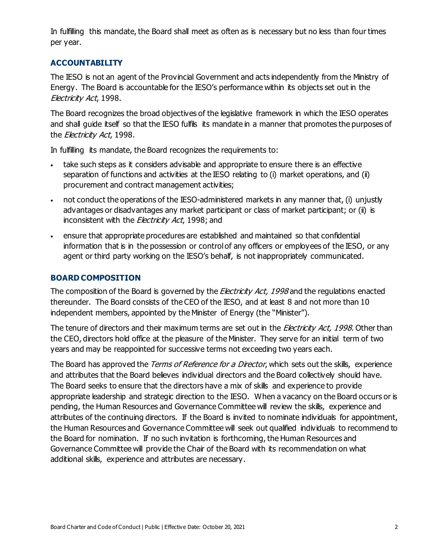In fulfilling this mandate, the Board shall meet as often as is necessary but no less than four times per year.

#### **ACCOUNTABILITY**

The IESO is not an agent of the Provincial Government and acts independently from the Ministry of Energy. The Board is accountable for the IESO's performance within its objects set out in the Electricity Act, 1998.

The Board recognizes the broad objectives of the legislative framework in which the IESO operates and shall guide itself so that the IESO fulfils its mandate in a manner that promotes the purposes of the Electricity Act, 1998.

In fulfilling its mandate, the Board recognizes the requirements to:

- take such steps as it considers advisable and appropriate to ensure there is an effective separation of functions and activities at the IESO relating to (i) market operations, and (ii) procurement and contract management activities;
- not conduct the operations of the IESO-administered markets in any manner that, (i) unjustly advantages or disadvantages any market participant or class of market participant; or (ii) is inconsistent with the Electricity Act, 1998; and
- ensure that appropriate procedures are established and maintained so that confidential information that is in the possession or control of any officers or employees of the IESO, or any agent or third party working on the IESO's behalf, is not inappropriately communicated.

#### **BOARD COMPOSITION**

The composition of the Board is governed by the *Electricity Act, 1998* and the regulations enacted thereunder. The Board consists of the CEO of the IESO, and at least 8 and not more than 10 independent members, appointed by the Minister of Energy (the "Minister").

The tenure of directors and their maximum terms are set out in the *Electricity Act, 1998*. Other than the CEO, directors hold office at the pleasure of the Minister. They serve for an initial term of two years and may be reappointed for successive terms not exceeding two years each.

The Board has approved the Terms of Reference for a Director, which sets out the skills, experience and attributes that the Board believes individual directors and the Board collectively should have. The Board seeks to ensure that the directors have a mix of skills and experience to provide appropriate leadership and strategic direction to the IESO. When a vacancy on the Board occurs or is pending, the Human Resources and Governance Committee will review the skills, experience and attributes of the continuing directors. If the Board is invited to nominate individuals for appointment, the Human Resources and Governance Committee will seek out qualified individuals to recommend to the Board for nomination. If no such invitation is forthcoming, the Human Resources and Governance Committee will provide the Chair of the Board with its recommendation on what additional skills, experience and attributes are necessary.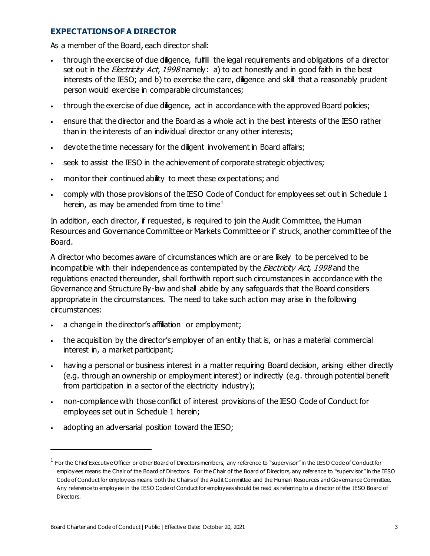#### **EXPECTATIONS OF A DIRECTOR**

As a member of the Board, each director shall:

- through the exercise of due diligence, fulfill the legal requirements and obligations of a director set out in the *Electricity Act, 1998* namely: a) to act honestly and in good faith in the best interests of the IESO; and b) to exercise the care, diligence and skill that a reasonably prudent person would exercise in comparable circumstances;
- through the exercise of due diligence, act in accordance with the approved Board policies;
- ensure that the director and the Board as a whole act in the best interests of the IESO rather than in the interests of an individual director or any other interests;
- devote the time necessary for the diligent involvement in Board affairs;
- seek to assist the IESO in the achievement of corporate strategic objectives;
- monitor their continued ability to meet these expectations; and
- comply with those provisions of the IESO Code of Conduct for employees set out in Schedule 1 herein, as may be amended from time to time<sup>[1](#page-2-0)</sup>

In addition, each director, if requested, is required to join the Audit Committee, the Human Resources and Governance Committee or Markets Committee or if struck, another committee of the Board.

A director who becomes aware of circumstances which are or are likely to be perceived to be incompatible with their independence as contemplated by the *Electricity Act, 1998* and the regulations enacted thereunder, shall forthwith report such circumstances in accordance with the Governance and Structure By-law and shall abide by any safeguards that the Board considers appropriate in the circumstances. The need to take such action may arise in the following circumstances:

- a change in the director's affiliation or employment;
- the acquisition by the director's employer of an entity that is, or has a material commercial interest in, a market participant;
- having a personal or business interest in a matter requiring Board decision, arising either directly (e.g. through an ownership or employment interest) or indirectly (e.g. through potential benefit from participation in a sector of the electricity industry);
- non-compliance with those conflict of interest provisions of the IESO Code of Conduct for employees set out in Schedule 1 herein;
- adopting an adversarial position toward the IESO;

I

<span id="page-2-0"></span> $1$  For the Chief Executive Officer or other Board of Directors members, any reference to "supervisor" in the IESO Code of Conduct for employees means the Chair of the Board of Directors. For the Chair of the Board of Directors, any reference to "supervisor" in the IESO Code of Conduct for employees means both the Chairs of the Audit Committee and the Human Resources and Governance Committee. Any reference to employee in the IESO Code of Conduct for employees should be read as referring to a director of the IESO Board of Directors.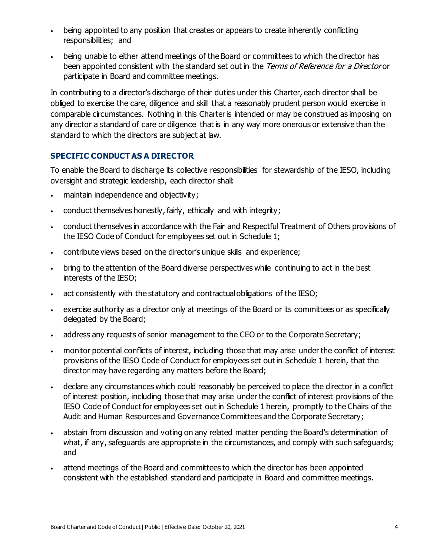- being appointed to any position that creates or appears to create inherently conflicting responsibilities; and
- being unable to either attend meetings of the Board or committees to which the director has been appointed consistent with the standard set out in the Terms of Reference for a Director or participate in Board and committee meetings.

In contributing to a director's discharge of their duties under this Charter, each director shall be obliged to exercise the care, diligence and skill that a reasonably prudent person would exercise in comparable circumstances. Nothing in this Charter is intended or may be construed as imposing on any director a standard of care or diligence that is in any way more onerous or extensive than the standard to which the directors are subject at law.

#### **SPECIFIC CONDUCT AS A DIRECTOR**

To enable the Board to discharge its collective responsibilities for stewardship of the IESO, including oversight and strategic leadership, each director shall:

- maintain independence and objectivity;
- conduct themselves honestly, fairly, ethically and with integrity;
- conduct themselves in accordance with the Fair and Respectful Treatment of Others provisions of the IESO Code of Conduct for employees set out in Schedule 1;
- contribute views based on the director's unique skills and experience;
- bring to the attention of the Board diverse perspectives while continuing to act in the best interests of the IESO;
- act consistently with the statutory and contractual obligations of the IESO;
- exercise authority as a director only at meetings of the Board or its committees or as specifically delegated by the Board;
- address any requests of senior management to the CEO or to the Corporate Secretary;
- monitor potential conflicts of interest, including those that may arise under the conflict of interest provisions of the IESO Code of Conduct for employees set out in Schedule 1 herein, that the director may have regarding any matters before the Board;
- declare any circumstances which could reasonably be perceived to place the director in a conflict of interest position, including those that may arise under the conflict of interest provisions of the IESO Code of Conduct for employees set out in Schedule 1 herein, promptly to the Chairs of the Audit and Human Resources and Governance Committees and the Corporate Secretary;
- abstain from discussion and voting on any related matter pending the Board's determination of what, if any, safeguards are appropriate in the circumstances, and comply with such safeguards; and
- attend meetings of the Board and committees to which the director has been appointed consistent with the established standard and participate in Board and committee meetings.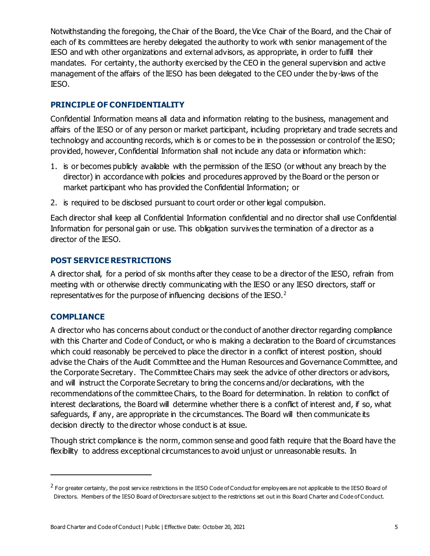Notwithstanding the foregoing, the Chair of the Board, the Vice Chair of the Board, and the Chair of each of its committees are hereby delegated the authority to work with senior management of the IESO and with other organizations and external advisors, as appropriate, in order to fulfill their mandates. For certainty, the authority exercised by the CEO in the general supervision and active management of the affairs of the IESO has been delegated to the CEO under the by-laws of the IESO.

#### **PRINCIPLE OF CONFIDENTIALITY**

Confidential Information means all data and information relating to the business, management and affairs of the IESO or of any person or market participant, including proprietary and trade secrets and technology and accounting records, which is or comes to be in the possession or control of the IESO; provided, however, Confidential Information shall not include any data or information which:

- 1. is or becomes publicly available with the permission of the IESO (or without any breach by the director) in accordance with policies and procedures approved by the Board or the person or market participant who has provided the Confidential Information; or
- 2. is required to be disclosed pursuant to court order or other legal compulsion.

Each director shall keep all Confidential Information confidential and no director shall use Confidential Information for personal gain or use. This obligation survives the termination of a director as a director of the IESO.

#### **POST SERVICE RESTRICTIONS**

A director shall, for a period of six months after they cease to be a director of the IESO, refrain from meeting with or otherwise directly communicating with the IESO or any IESO directors, staff or representatives for the purpose of influencing decisions of the IESO.<sup>[2](#page-4-0)</sup>

#### **COMPLIANCE**

I

A director who has concerns about conduct or the conduct of another director regarding compliance with this Charter and Code of Conduct, or who is making a declaration to the Board of circumstances which could reasonably be perceived to place the director in a conflict of interest position, should advise the Chairs of the Audit Committee and the Human Resources and Governance Committee, and the Corporate Secretary. The Committee Chairs may seek the advice of other directors or advisors, and will instruct the Corporate Secretary to bring the concerns and/or declarations, with the recommendations of the committee Chairs, to the Board for determination. In relation to conflict of interest declarations, the Board will determine whether there is a conflict of interest and, if so, what safeguards, if any, are appropriate in the circumstances. The Board will then communicate its decision directly to the director whose conduct is at issue.

Though strict compliance is the norm, common sense and good faith require that the Board have the flexibility to address exceptional circumstances to avoid unjust or unreasonable results. In

<span id="page-4-0"></span><sup>&</sup>lt;sup>2</sup> For greater certainty, the post service restrictions in the IESO Code of Conduct for employees are not applicable to the IESO Board of Directors. Members of the IESO Board of Directors are subject to the restrictions set out in this Board Charter and Code of Conduct.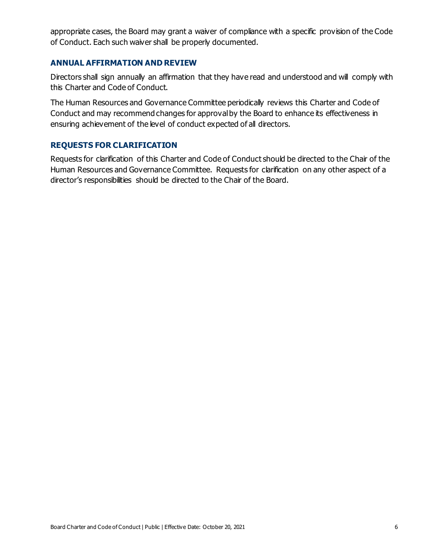appropriate cases, the Board may grant a waiver of compliance with a specific provision of the Code of Conduct. Each such waiver shall be properly documented.

#### **ANNUAL AFFIRMATION AND REVIEW**

Directors shall sign annually an affirmation that they have read and understood and will comply with this Charter and Code of Conduct.

The Human Resources and Governance Committee periodically reviews this Charter and Code of Conduct and may recommend changes for approval by the Board to enhance its effectiveness in ensuring achievement of the level of conduct expected of all directors.

#### **REQUESTS FOR CLARIFICATION**

Requests for clarification of this Charter and Code of Conduct should be directed to the Chair of the Human Resources and Governance Committee. Requests for clarification on any other aspect of a director's responsibilities should be directed to the Chair of the Board.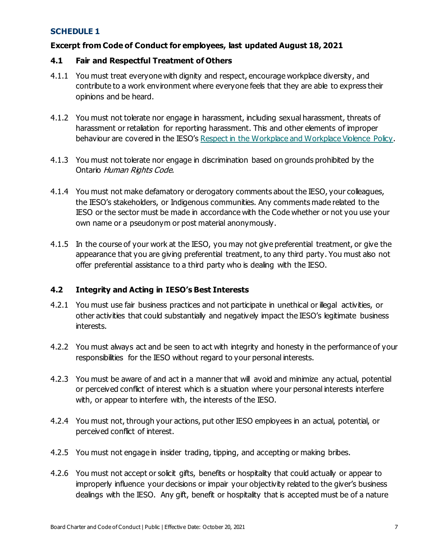#### **SCHEDULE 1**

#### **Excerpt from Code of Conduct for employees, last updated August 18, 2021**

#### **4.1 Fair and Respectful Treatment of Others**

- 4.1.1 You must treat everyone with dignity and respect, encourage workplace diversity, and contribute to a work environment where everyone feels that they are able to express their opinions and be heard.
- 4.1.2 You must not tolerate nor engage in harassment, including sexual harassment, threats of harassment or retaliation for reporting harassment. This and other elements of improper behaviour are covered in the IESO's [Respect in the Workplace and Workplace Violence Policy.](http://citadel.corp.int/otcs/llisapi.dll?func=ll&objId=3670055&objAction=download)
- 4.1.3 You must not tolerate nor engage in discrimination based on grounds prohibited by the Ontario Human Rights Code.
- 4.1.4 You must not make defamatory or derogatory comments about the IESO, your colleagues, the IESO's stakeholders, or Indigenous communities. Any comments made related to the IESO or the sector must be made in accordance with the Code whether or not you use your own name or a pseudonym or post material anonymously.
- 4.1.5 In the course of your work at the IESO, you may not give preferential treatment, or give the appearance that you are giving preferential treatment, to any third party. You must also not offer preferential assistance to a third party who is dealing with the IESO.

#### **4.2 Integrity and Acting in IESO's Best Interests**

- 4.2.1 You must use fair business practices and not participate in unethical or illegal activities, or other activities that could substantially and negatively impact the IESO's legitimate business interests.
- 4.2.2 You must always act and be seen to act with integrity and honesty in the performance of your responsibilities for the IESO without regard to your personal interests.
- 4.2.3 You must be aware of and act in a manner that will avoid and minimize any actual, potential or perceived conflict of interest which is a situation where your personal interests interfere with, or appear to interfere with, the interests of the IESO.
- 4.2.4 You must not, through your actions, put other IESO employees in an actual, potential, or perceived conflict of interest.
- 4.2.5 You must not engage in insider trading, tipping, and accepting or making bribes.
- 4.2.6 You must not accept or solicit gifts, benefits or hospitality that could actually or appear to improperly influence your decisions or impair your objectivity related to the giver's business dealings with the IESO. Any gift, benefit or hospitality that is accepted must be of a nature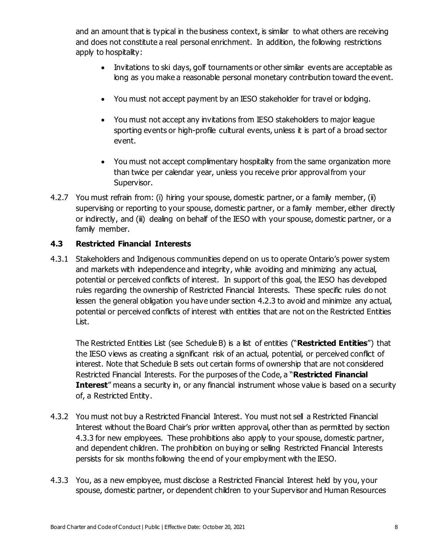and an amount that is typical in the business context, is similar to what others are receiving and does not constitute a real personal enrichment. In addition, the following restrictions apply to hospitality:

- Invitations to ski days, golf tournaments or other similar events are acceptable as long as you make a reasonable personal monetary contribution toward the event.
- You must not accept payment by an IESO stakeholder for travel or lodging.
- You must not accept any invitations from IESO stakeholders to major league sporting events or high-profile cultural events, unless it is part of a broad sector event.
- You must not accept complimentary hospitality from the same organization more than twice per calendar year, unless you receive prior approval from your Supervisor.
- 4.2.7 You must refrain from: (i) hiring your spouse, domestic partner, or a family member, (ii) supervising or reporting to your spouse, domestic partner, or a family member, either directly or indirectly, and (iii) dealing on behalf of the IESO with your spouse, domestic partner, or a family member.

#### **4.3 Restricted Financial Interests**

4.3.1 Stakeholders and Indigenous communities depend on us to operate Ontario's power system and markets with independence and integrity, while avoiding and minimizing any actual, potential or perceived conflicts of interest. In support of this goal, the IESO has developed rules regarding the ownership of Restricted Financial Interests. These specific rules do not lessen the general obligation you have under section 4.2.3 to avoid and minimize any actual, potential or perceived conflicts of interest with entities that are not on the Restricted Entities List.

The Restricted Entities List (see Schedule B) is a list of entities ("**Restricted Entities**") that the IESO views as creating a significant risk of an actual, potential, or perceived conflict of interest. Note that Schedule B sets out certain forms of ownership that are not considered Restricted Financial Interests. For the purposes of the Code, a "**Restricted Financial Interest**" means a security in, or any financial instrument whose value is based on a security of, a Restricted Entity.

- 4.3.2 You must not buy a Restricted Financial Interest. You must not sell a Restricted Financial Interest without the Board Chair's prior written approval, other than as permitted by section 4.3.3 for new employees. These prohibitions also apply to your spouse, domestic partner, and dependent children. The prohibition on buying or selling Restricted Financial Interests persists for six months following the end of your employment with the IESO.
- 4.3.3 You, as a new employee, must disclose a Restricted Financial Interest held by you, your spouse, domestic partner, or dependent children to your Supervisor and Human Resources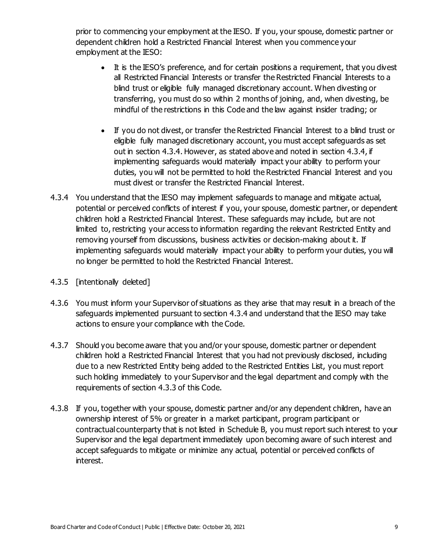prior to commencing your employment at the IESO. If you, your spouse, domestic partner or dependent children hold a Restricted Financial Interest when you commence your employment at the IESO:

- It is the IESO's preference, and for certain positions a requirement, that you divest all Restricted Financial Interests or transfer the Restricted Financial Interests to a blind trust or eligible fully managed discretionary account. When divesting or transferring, you must do so within 2 months of joining, and, when divesting, be mindful of the restrictions in this Code and the law against insider trading; or
- If you do not divest, or transfer the Restricted Financial Interest to a blind trust or eligible fully managed discretionary account, you must accept safeguards as set out in section [4.3.4.](#page-8-0) However, as stated above and noted in section 4.3.4, if implementing safeguards would materially impact your ability to perform your duties, you will not be permitted to hold the Restricted Financial Interest and you must divest or transfer the Restricted Financial Interest.
- <span id="page-8-0"></span>4.3.4 You understand that the IESO may implement safeguards to manage and mitigate actual, potential or perceived conflicts of interest if you, your spouse, domestic partner, or dependent children hold a Restricted Financial Interest. These safeguards may include, but are not limited to, restricting your access to information regarding the relevant Restricted Entity and removing yourself from discussions, business activities or decision-making about it. If implementing safeguards would materially impact your ability to perform your duties, you will no longer be permitted to hold the Restricted Financial Interest.
- 4.3.5 [intentionally deleted]
- 4.3.6 You must inform your Supervisor of situations as they arise that may result in a breach of the safeguards implemented pursuant to section [4.3.4](#page-8-0) and understand that the IESO may take actions to ensure your compliance with the Code.
- 4.3.7 Should you become aware that you and/or your spouse, domestic partner or dependent children hold a Restricted Financial Interest that you had not previously disclosed, including due to a new Restricted Entity being added to the Restricted Entities List, you must report such holding immediately to your Supervisor and the legal department and comply with the requirements of section 4.3.3 of this Code.
- 4.3.8 If you, together with your spouse, domestic partner and/or any dependent children, have an ownership interest of 5% or greater in a market participant, program participant or contractual counterparty that is not listed in Schedule B, you must report such interest to your Supervisor and the legal department immediately upon becoming aware of such interest and accept safeguards to mitigate or minimize any actual, potential or perceived conflicts of interest.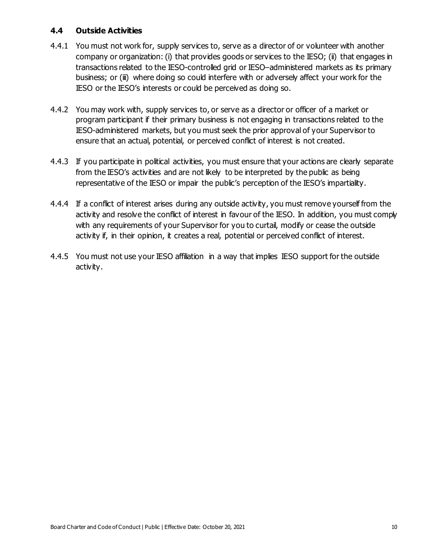#### **4.4 Outside Activities**

- 4.4.1 You must not work for, supply services to, serve as a director of or volunteer with another company or organization: (i) that provides goods or services to the IESO; (ii) that engages in transactions related to the IESO-controlled grid or IESO–administered markets as its primary business; or (iii) where doing so could interfere with or adversely affect your work for the IESO or the IESO's interests or could be perceived as doing so.
- 4.4.2 You may work with, supply services to, or serve as a director or officer of a market or program participant if their primary business is not engaging in transactions related to the IESO-administered markets, but you must seek the prior approval of your Supervisor to ensure that an actual, potential, or perceived conflict of interest is not created.
- 4.4.3 If you participate in political activities, you must ensure that your actions are clearly separate from the IESO's activities and are not likely to be interpreted by the public as being representative of the IESO or impair the public's perception of the IESO's impartiality.
- 4.4.4 If a conflict of interest arises during any outside activity, you must remove yourself from the activity and resolve the conflict of interest in favour of the IESO. In addition, you must comply with any requirements of your Supervisor for you to curtail, modify or cease the outside activity if, in their opinion, it creates a real, potential or perceived conflict of interest.
- 4.4.5 You must not use your IESO affiliation in a way that implies IESO support for the outside activity.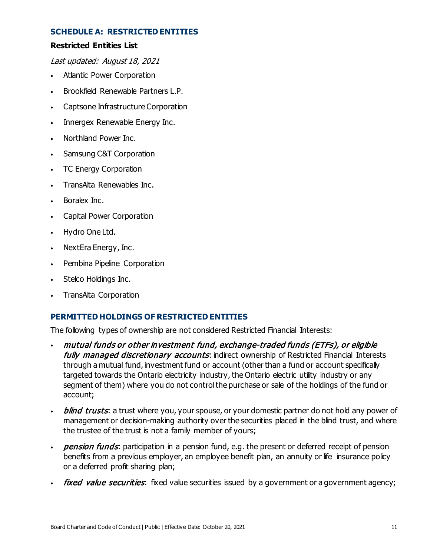#### **SCHEDULE A: RESTRICTED ENTITIES**

#### **Restricted Entities List**

Last updated: August 18, 2021

- Atlantic Power Corporation
- Brookfield Renewable Partners L.P.
- Captsone Infrastructure Corporation
- Innergex Renewable Energy Inc.
- Northland Power Inc.
- Samsung C&T Corporation
- **TC Energy Corporation**
- TransAlta Renewables Inc.
- Boralex Inc.
- Capital Power Corporation
- Hydro One Ltd.
- NextEra Energy, Inc.
- Pembina Pipeline Corporation
- Stelco Holdings Inc.
- TransAlta Corporation

#### **PERMITTED HOLDINGS OF RESTRICTED ENTITIES**

The following types of ownership are not considered Restricted Financial Interests:

- mutual funds or other investment fund, exchange-traded funds (ETFs), or eligible fully managed discretionary accounts: indirect ownership of Restricted Financial Interests through a mutual fund, investment fund or account (other than a fund or account specifically targeted towards the Ontario electricity industry, the Ontario electric utility industry or any segment of them) where you do not control the purchase or sale of the holdings of the fund or account;
- blind trusts: a trust where you, your spouse, or your domestic partner do not hold any power of management or decision-making authority over the securities placed in the blind trust, and where the trustee of the trust is not a family member of yours;
- **pension funds:** participation in a pension fund, e.g. the present or deferred receipt of pension benefits from a previous employer, an employee benefit plan, an annuity or life insurance policy or a deferred profit sharing plan;
- fixed value securities: fixed value securities issued by a government or a government agency;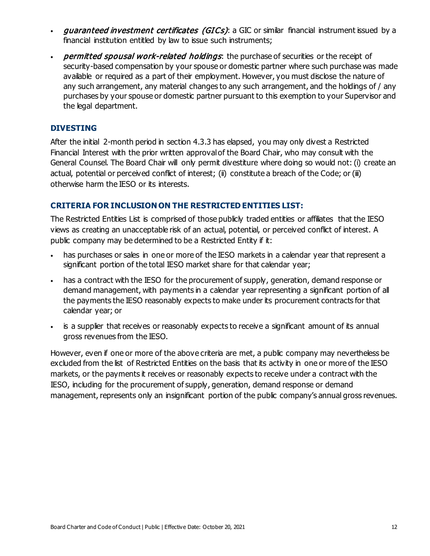- guaranteed investment certificates (GICs): a GIC or similar financial instrument issued by a financial institution entitled by law to issue such instruments;
- permitted spousal work-related holdings: the purchase of securities or the receipt of security-based compensation by your spouse or domestic partner where such purchase was made available or required as a part of their employment. However, you must disclose the nature of any such arrangement, any material changes to any such arrangement, and the holdings of / any purchases by your spouse or domestic partner pursuant to this exemption to your Supervisor and the legal department.

#### **DIVESTING**

After the initial 2-month period in section 4.3.3 has elapsed, you may only divest a Restricted Financial Interest with the prior written approval of the Board Chair, who may consult with the General Counsel. The Board Chair will only permit divestiture where doing so would not: (i) create an actual, potential or perceived conflict of interest; (ii) constitute a breach of the Code; or (iii) otherwise harm the IESO or its interests.

#### **CRITERIA FOR INCLUSION ON THE RESTRICTED ENTITIES LIST:**

The Restricted Entities List is comprised of those publicly traded entities or affiliates that the IESO views as creating an unacceptable risk of an actual, potential, or perceived conflict of interest. A public company may be determined to be a Restricted Entity if it:

- has purchases or sales in one or more of the IESO markets in a calendar year that represent a significant portion of the total IESO market share for that calendar year;
- has a contract with the IESO for the procurement of supply, generation, demand response or demand management, with payments in a calendar year representing a significant portion of all the payments the IESO reasonably expects to make under its procurement contracts for that calendar year; or
- is a supplier that receives or reasonably expects to receive a significant amount of its annual gross revenues from the IESO.

However, even if one or more of the above criteria are met, a public company may nevertheless be excluded from the list of Restricted Entities on the basis that its activity in one or more of the IESO markets, or the payments it receives or reasonably expects to receive under a contract with the IESO, including for the procurement of supply, generation, demand response or demand management, represents only an insignificant portion of the public company's annual gross revenues.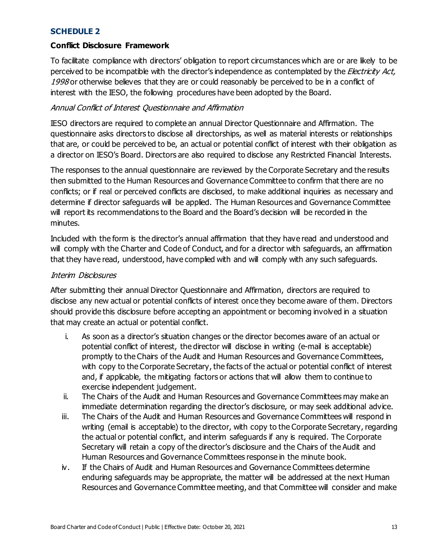#### **SCHEDULE 2**

#### **Conflict Disclosure Framework**

To facilitate compliance with directors' obligation to report circumstances which are or are likely to be perceived to be incompatible with the director's independence as contemplated by the *Electricity Act*, 1998 or otherwise believes that they are or could reasonably be perceived to be in a conflict of interest with the IESO, the following procedures have been adopted by the Board.

#### Annual Conflict of Interest Questionnaire and Affirmation

IESO directors are required to complete an annual Director Questionnaire and Affirmation. The questionnaire asks directors to disclose all directorships, as well as material interests or relationships that are, or could be perceived to be, an actual or potential conflict of interest with their obligation as a director on IESO's Board. Directors are also required to disclose any Restricted Financial Interests.

The responses to the annual questionnaire are reviewed by the Corporate Secretary and the results then submitted to the Human Resources and Governance Committee to confirm that there are no conflicts; or if real or perceived conflicts are disclosed, to make additional inquiries as necessary and determine if director safeguards will be applied. The Human Resources and Governance Committee will report its recommendations to the Board and the Board's decision will be recorded in the minutes.

Included with the form is the director's annual affirmation that they have read and understood and will comply with the Charter and Code of Conduct, and for a director with safeguards, an affirmation that they have read, understood, have complied with and will comply with any such safeguards.

#### Interim Disclosures

After submitting their annual Director Questionnaire and Affirmation, directors are required to disclose any new actual or potential conflicts of interest once they become aware of them. Directors should provide this disclosure before accepting an appointment or becoming involved in a situation that may create an actual or potential conflict.

- i. As soon as a director's situation changes or the director becomes aware of an actual or potential conflict of interest, the director will disclose in writing (e-mail is acceptable) promptly to the Chairs of the Audit and Human Resources and Governance Committees, with copy to the Corporate Secretary, the facts of the actual or potential conflict of interest and, if applicable, the mitigating factors or actions that will allow them to continue to exercise independent judgement.
- ii. The Chairs of the Audit and Human Resources and Governance Committees may make an immediate determination regarding the director's disclosure, or may seek additional advice.
- iii. The Chairs of the Audit and Human Resources and Governance Committees will respond in writing (email is acceptable) to the director, with copy to the Corporate Secretary, regarding the actual or potential conflict, and interim safeguards if any is required. The Corporate Secretary will retain a copy of the director's disclosure and the Chairs of the Audit and Human Resources and Governance Committees response in the minute book.
- iv. If the Chairs of Audit and Human Resources and Governance Committees determine enduring safeguards may be appropriate, the matter will be addressed at the next Human Resources and Governance Committee meeting, and that Committee will consider and make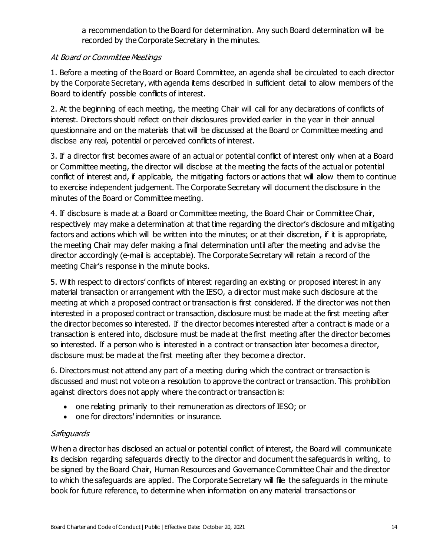a recommendation to the Board for determination. Any such Board determination will be recorded by the Corporate Secretary in the minutes.

#### At Board or Committee Meetings

1. Before a meeting of the Board or Board Committee, an agenda shall be circulated to each director by the Corporate Secretary, with agenda items described in sufficient detail to allow members of the Board to identify possible conflicts of interest.

2. At the beginning of each meeting, the meeting Chair will call for any declarations of conflicts of interest. Directors should reflect on their disclosures provided earlier in the year in their annual questionnaire and on the materials that will be discussed at the Board or Committee meeting and disclose any real, potential or perceived conflicts of interest.

3. If a director first becomes aware of an actual or potential conflict of interest only when at a Board or Committee meeting, the director will disclose at the meeting the facts of the actual or potential conflict of interest and, if applicable, the mitigating factors or actions that will allow them to continue to exercise independent judgement. The Corporate Secretary will document the disclosure in the minutes of the Board or Committee meeting.

4. If disclosure is made at a Board or Committee meeting, the Board Chair or Committee Chair, respectively may make a determination at that time regarding the director's disclosure and mitigating factors and actions which will be written into the minutes; or at their discretion, if it is appropriate, the meeting Chair may defer making a final determination until after the meeting and advise the director accordingly (e-mail is acceptable). The Corporate Secretary will retain a record of the meeting Chair's response in the minute books.

5. With respect to directors' conflicts of interest regarding an existing or proposed interest in any material transaction or arrangement with the IESO, a director must make such disclosure at the meeting at which a proposed contract or transaction is first considered. If the director was not then interested in a proposed contract or transaction, disclosure must be made at the first meeting after the director becomes so interested. If the director becomes interested after a contract is made or a transaction is entered into, disclosure must be made at the first meeting after the director becomes so interested. If a person who is interested in a contract or transaction later becomes a director, disclosure must be made at the first meeting after they become a director.

6. Directors must not attend any part of a meeting during which the contract or transaction is discussed and must not vote on a resolution to approve the contract or transaction. This prohibition against directors does not apply where the contract or transaction is:

- one relating primarily to their remuneration as directors of IESO; or
- one for directors' indemnities or insurance.

#### **Safeguards**

When a director has disclosed an actual or potential conflict of interest, the Board will communicate its decision regarding safeguards directly to the director and document the safeguards in writing, to be signed by the Board Chair, Human Resources and Governance Committee Chair and the director to which the safeguards are applied. The Corporate Secretary will file the safeguards in the minute book for future reference, to determine when information on any material transactions or